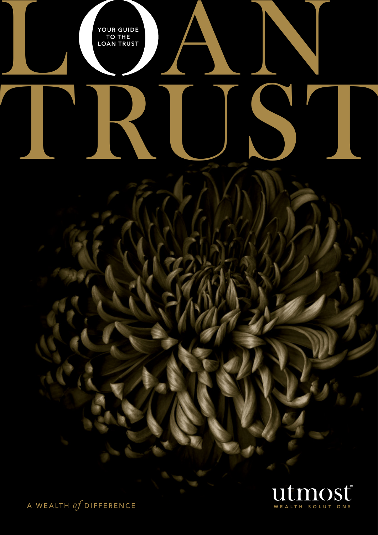

# l aN R



A WEALTH  $of$  DIFFERENCE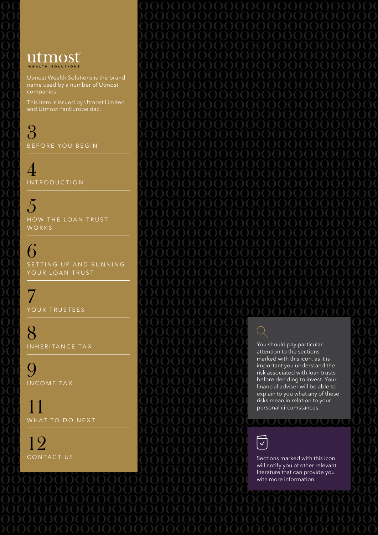# utmost WEALTH SOLUTIONS

Utmost Wealth Solutions is the brand name used by a number of Utmost companies.

This item is issued by Utmost Limited and Utmost PanEurope dac.

3 BEFORE YOU BEGIN

4 IN TRODUCTION

5 HOW THE LOAN TRUST **WORKS** 

6 SETTING UP AND RUNNING YOUR LOAN TRUST

7 YOUR TRUSTEES

8 IN HERITANCE TAX

 $\overline{C}$ IN COME TAX

11 WHAT TO DO NEXT

12 CONTACT US





Sections marked with this icon will notify you of other relevant literature that can provide you with more information.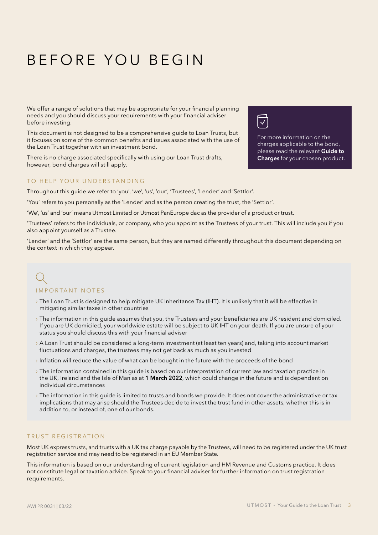# BEFORE YOU BEGIN

We offer a range of solutions that may be appropriate for your financial planning needs and you should discuss your requirements with your financial adviser before investing.

This document is not designed to be a comprehensive guide to Loan Trusts, but it focuses on some of the common benefits and issues associated with the use of the Loan Trust together with an investment bond.

There is no charge associated specifically with using our Loan Trust drafts, however, bond charges will still apply.

# TO HELP YOUR UNDERSTANDING

Throughout this guide we refer to 'you', 'we', 'us', 'our', 'Trustees', 'Lender' and 'Settlor'.

'You' refers to you personally as the 'Lender' and as the person creating the trust, the 'Settlor'.

'We', 'us' and 'our' means Utmost Limited or Utmost PanEurope dac as the provider of a product or trust.

'Trustees' refers to the individuals, or company, who you appoint as the Trustees of your trust. This will include you if you also appoint yourself as a Trustee.

'Lender' and the 'Settlor' are the same person, but they are named differently throughout this document depending on the context in which they appear.

# IMPORTANT NOTES

- › The Loan Trust is designed to help mitigate UK Inheritance Tax (IHT). It is unlikely that it will be effective in mitigating similar taxes in other countries
- › The information in this guide assumes that you, the Trustees and your beneficiaries are UK resident and domiciled. If you are UK domiciled, your worldwide estate will be subject to UK IHT on your death. If you are unsure of your status you should discuss this with your financial adviser
- › A Loan Trust should be considered a long-term investment (at least ten years) and, taking into account market fluctuations and charges, the trustees may not get back as much as you invested
- $\rightarrow$  Inflation will reduce the value of what can be bought in the future with the proceeds of the bond
- › The information contained in this guide is based on our interpretation of current law and taxation practice in the UK, Ireland and the Isle of Man as at 1 March 2022, which could change in the future and is dependent on individual circumstances
- › The information in this guide is limited to trusts and bonds we provide. It does not cover the administrative or tax implications that may arise should the Trustees decide to invest the trust fund in other assets, whether this is in addition to, or instead of, one of our bonds.

### TRUST REGISTRATION

Most UK express trusts, and trusts with a UK tax charge payable by the Trustees, will need to be registered under the UK trust registration service and may need to be registered in an EU Member State.

This information is based on our understanding of current legislation and HM Revenue and Customs practice. It does not constitute legal or taxation advice. Speak to your financial adviser for further information on trust registration requirements.



For more information on the charges applicable to the bond, please read the relevant Guide to Charges for your chosen product.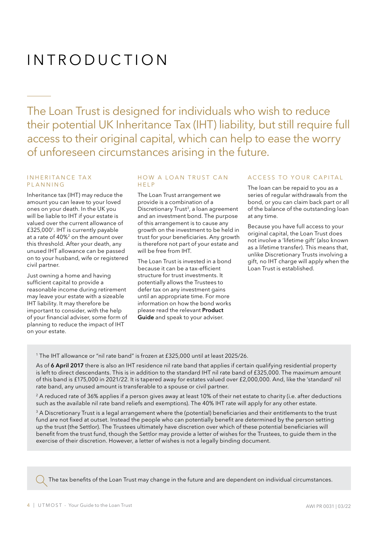# **INTRODUCTION**

The Loan Trust is designed for individuals who wish to reduce their potential UK Inheritance Tax (IHT) liability, but still require full access to their original capital, which can help to ease the worry of unforeseen circumstances arising in the future.

# IN HERITANCE TAX **PLANNING**

Inheritance tax (IHT) may reduce the amount you can leave to your loved ones on your death. In the UK you will be liable to IHT if your estate is valued over the current allowance of £325,0001 . IHT is currently payable at a rate of 40%2 on the amount over this threshold. After your death, any unused IHT allowance can be passed on to your husband, wife or registered civil partner.

Just owning a home and having sufficient capital to provide a reasonable income during retirement may leave your estate with a sizeable IHT liability. It may therefore be important to consider, with the help of your financial adviser, some form of planning to reduce the impact of IHT on your estate.

# HOW A LOAN TRUST CAN H E L P

The Loan Trust arrangement we provide is a combination of a  $\overline{D}$ iscretionary Trust<sup>3</sup>, a loan agreement and an investment bond. The purpose of this arrangement is to cause any growth on the investment to be held in trust for your beneficiaries. Any growth is therefore not part of your estate and will be free from IHT.

The Loan Trust is invested in a bond because it can be a tax-efficient structure for trust investments. It potentially allows the Trustees to defer tax on any investment gains until an appropriate time. For more information on how the bond works please read the relevant Product Guide and speak to your adviser.

# ACCESS TO YOUR CAPITAL

The loan can be repaid to you as a series of regular withdrawals from the bond, or you can claim back part or all of the balance of the outstanding loan at any time.

Because you have full access to your original capital, the Loan Trust does not involve a 'lifetime gift' (also known as a lifetime transfer). This means that, unlike Discretionary Trusts involving a gift, no IHT charge will apply when the Loan Trust is established.

1 The IHT allowance or "nil rate band" is frozen at £325,000 until at least 2025/26.

As of 6 April 2017 there is also an IHT residence nil rate band that applies if certain qualifying residential property is left to direct descendants. This is in addition to the standard IHT nil rate band of £325,000. The maximum amount of this band is £175,000 in 2021/22. It is tapered away for estates valued over £2,000,000. And, like the 'standard' nil rate band, any unused amount is transferable to a spouse or civil partner.

 $2$  A reduced rate of 36% applies if a person gives away at least 10% of their net estate to charity (i.e. after deductions such as the available nil rate band reliefs and exemptions). The 40% IHT rate will apply for any other estate.

 $3$  A Discretionary Trust is a legal arrangement where the (potential) beneficiaries and their entitlements to the trust fund are not fixed at outset. Instead the people who can potentially benefit are determined by the person setting up the trust (the Settlor). The Trustees ultimately have discretion over which of these potential beneficiaries will benefit from the trust fund, though the Settlor may provide a letter of wishes for the Trustees, to guide them in the exercise of their discretion. However, a letter of wishes is not a legally binding document.

The tax benefits of the Loan Trust may change in the future and are dependent on individual circumstances.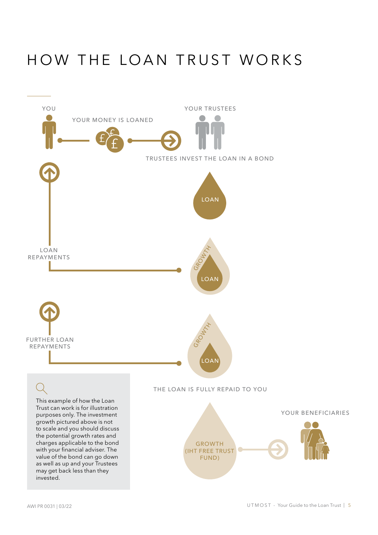# HOW THE LOAN TRUST WORKS

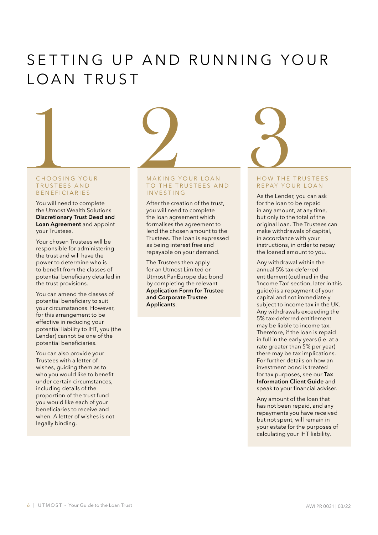# SETTING UP AND RUNNING YOUR loan trust

# THE CHOOSIN C hoosing your trustees and beneficiaries

You will need to complete the Utmost Wealth Solutions Discretionary Trust Deed and Loan Agreement and appoint your Trustees.

Your chosen Trustees will be responsible for administering the trust and will have the power to determine who is to benefit from the classes of potential beneficiary detailed in the trust provisions.

You can amend the classes of potential beneficiary to suit your circumstances. However, for this arrangement to be effective in reducing your potential liability to IHT, you (the Lender) cannot be one of the potential beneficiaries.

You can also provide your Trustees with a letter of wishes, guiding them as to who you would like to benefit under certain circumstances, including details of the proportion of the trust fund you would like each of your beneficiaries to receive and when. A letter of wishes is not legally binding.

# MAKING Y M aking your loan to the trustees and **INVESTING**

After the creation of the trust, you will need to complete the loan agreement which formalises the agreement to lend the chosen amount to the Trustees. The loan is expressed as being interest free and repayable on your demand.

The Trustees then apply for an Utmost Limited or Utmost PanEurope dac bond by completing the relevant Application Form for Trustee and Corporate Trustee Applicants.

# HOW THE REPAY YO

### H ow the trustees repay your loan

As the Lender, you can ask for the loan to be repaid in any amount, at any time, but only to the total of the original loan. The Trustees can make withdrawals of capital, in accordance with your instructions, in order to repay the loaned amount to you.

Any withdrawal within the annual 5% tax-deferred entitlement (outlined in the 'Income Tax' section, later in this guide) is a repayment of your capital and not immediately subject to income tax in the UK. Any withdrawals exceeding the 5% tax-deferred entitlement may be liable to income tax. Therefore, if the loan is repaid in full in the early years (i.e. at a rate greater than 5% per year) there may be tax implications. For further details on how an investment bond is treated for tax purposes, see our Tax Information Client Guide and speak to your financial adviser.

Any amount of the loan that has not been repaid, and any repayments you have received but not spent, will remain in your estate for the purposes of calculating your IHT liability.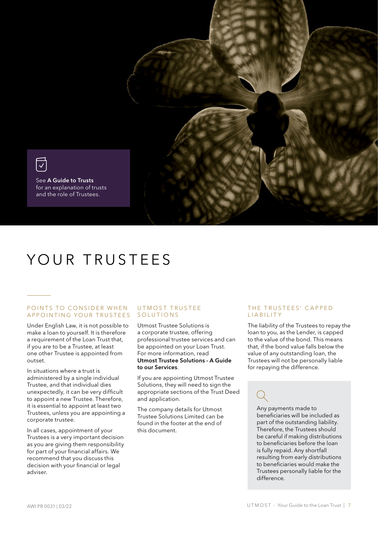

# YOUR TRUSTEES

### POINTS TO CONSIDER WHEN APPOINTING YOUR TRUSTEES

Under English Law, it is not possible to make a loan to yourself. It is therefore a requirement of the Loan Trust that, if you are to be a Trustee, at least one other Trustee is appointed from outset.

In situations where a trust is administered by a single individual Trustee, and that individual dies unexpectedly, it can be very difficult to appoint a new Trustee. Therefore, it is essential to appoint at least two Trustees, unless you are appointing a corporate trustee.

In all cases, appointment of your Trustees is a very important decision as you are giving them responsibility for part of your financial affairs. We recommend that you discuss this decision with your financial or legal adviser.

## UTMOST TRUSTEE **SOLUTIONS**

Utmost Trustee Solutions is a corporate trustee, offering professional trustee services and can be appointed on your Loan Trust. For more information, read Utmost Trustee Solutions - A Guide to our Services.

If you are appointing Utmost Trustee Solutions, they will need to sign the appropriate sections of the Trust Deed and application.

The company details for Utmost Trustee Solutions Limited can be found in the footer at the end of this document.

## THE TRUSTEES' CAPPED L I A B I LITY

The liability of the Trustees to repay the loan to you, as the Lender, is capped to the value of the bond. This means that, if the bond value falls below the value of any outstanding loan, the Trustees will not be personally liable for repaying the difference.

Any payments made to beneficiaries will be included as part of the outstanding liability. Therefore, the Trustees should be careful if making distributions to beneficiaries before the loan is fully repaid. Any shortfall resulting from early distributions to beneficiaries would make the Trustees personally liable for the difference.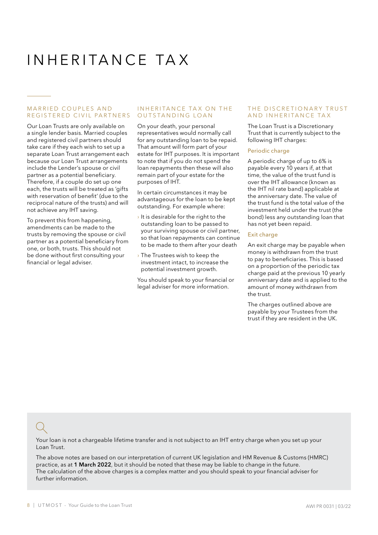# INHERITANCE TAX

### MARRIED COUPLES AND REGISTERED CIVIL PARTNERS

Our Loan Trusts are only available on a single lender basis. Married couples and registered civil partners should take care if they each wish to set up a separate Loan Trust arrangement each because our Loan Trust arrangements include the Lender's spouse or civil partner as a potential beneficiary. Therefore, if a couple do set up one each, the trusts will be treated as 'gifts with reservation of benefit' (due to the reciprocal nature of the trusts) and will not achieve any IHT saving.

To prevent this from happening, amendments can be made to the trusts by removing the spouse or civil partner as a potential beneficiary from one, or both, trusts. This should not be done without first consulting your financial or legal adviser.

# INHERITANCE TAX ON THE OUTSTANDING LOAN

On your death, your personal representatives would normally call for any outstanding loan to be repaid. That amount will form part of your estate for IHT purposes. It is important to note that if you do not spend the loan repayments then these will also remain part of your estate for the purposes of IHT.

In certain circumstances it may be advantageous for the loan to be kept outstanding. For example where:

- $\rightarrow$  It is desirable for the right to the outstanding loan to be passed to your surviving spouse or civil partner, so that loan repayments can continue to be made to them after your death
- › The Trustees wish to keep the investment intact, to increase the potential investment growth.

You should speak to your financial or legal adviser for more information.

### THE DISCRETIONARY TRUST AND INHERITANCE TAX

The Loan Trust is a Discretionary Trust that is currently subject to the following IHT charges:

# Periodic charge

A periodic charge of up to 6% is payable every 10 years if, at that time, the value of the trust fund is over the IHT allowance (known as the IHT nil rate band) applicable at the anniversary date. The value of the trust fund is the total value of the investment held under the trust (the bond) less any outstanding loan that has not yet been repaid.

### Exit charge

An exit charge may be payable when money is withdrawn from the trust to pay to beneficiaries. This is based on a proportion of the periodic tax charge paid at the previous 10 yearly anniversary date and is applied to the amount of money withdrawn from the trust.

The charges outlined above are payable by your Trustees from the trust if they are resident in the UK.

Your loan is not a chargeable lifetime transfer and is not subject to an IHT entry charge when you set up your Loan Trust.

The above notes are based on our interpretation of current UK legislation and HM Revenue & Customs (HMRC) practice, as at 1 March 2022, but it should be noted that these may be liable to change in the future. The calculation of the above charges is a complex matter and you should speak to your financial adviser for further information.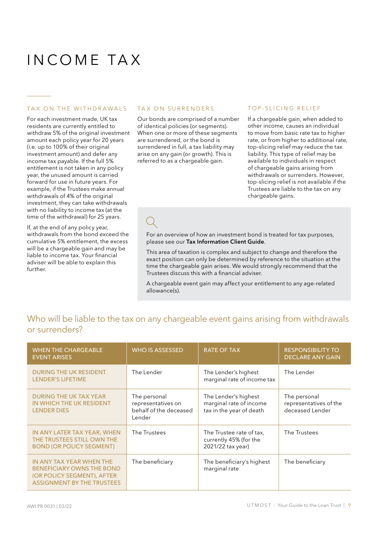# I ncome tax

### TAX ON THE WITHDRAWALS

For each investment made, UK tax residents are currently entitled to withdraw 5% of the original investment amount each policy year for 20 years (i.e. up to 100% of their original investment amount) and defer any income tax payable. If the full 5% entitlement is not taken in any policy year, the unused amount is carried forward for use in future years. For example, if the Trustees make annual withdrawals of 4% of the original investment, they can take withdrawals with no liability to income tax (at the time of the withdrawal) for 25 years.

If, at the end of any policy year, withdrawals from the bond exceed the cumulative 5% entitlement, the excess will be a chargeable gain and may be liable to income tax. Your financial adviser will be able to explain this further.

### TAX ON SURRENDERS

Our bonds are comprised of a number of identical policies (or segments). When one or more of these segments are surrendered, or the bond is surrendered in full, a tax liability may arise on any gain (or growth). This is referred to as a chargeable gain.

### TOP-SLICING RELIEF

If a chargeable gain, when added to other income, causes an individual to move from basic rate tax to higher rate, or from higher to additional rate, top-slicing relief may reduce the tax liability. This type of relief may be available to individuals in respect of chargeable gains arising from withdrawals or surrenders. However, top-slicing relief is not available if the Trustees are liable to the tax on any chargeable gains.

For an overview of how an investment bond is treated for tax purposes, please see our Tax Information Client Guide.

This area of taxation is complex and subject to change and therefore the exact position can only be determined by reference to the situation at the time the chargeable gain arises. We would strongly recommend that the Trustees discuss this with a financial adviser.

A chargeable event gain may affect your entitlement to any age-related allowance(s).

# Who will be liable to the tax on any chargeable event gains arising from withdrawals or surrenders?

| <b>WHEN THE CHARGEABLE</b><br><b>EVENT ARISES</b>                                                                               | <b>WHO IS ASSESSED</b>                                                 | <b>RATE OF TAX</b>                                                          | <b>RESPONSIBILITY TO</b><br><b>DECLARE ANY GAIN</b>       |
|---------------------------------------------------------------------------------------------------------------------------------|------------------------------------------------------------------------|-----------------------------------------------------------------------------|-----------------------------------------------------------|
| <b>DURING THE UK RESIDENT</b><br><b>LENDER'S LIFETIME</b>                                                                       | The Lender                                                             | The Lender's highest<br>marginal rate of income tax                         | The Lender                                                |
| <b>DURING THE UK TAX YEAR</b><br>IN WHICH THE UK RESIDENT<br><b>LENDER DIES</b>                                                 | The personal<br>representatives on<br>behalf of the deceased<br>Lender | The Lender's highest<br>marginal rate of income<br>tax in the year of death | The personal<br>representatives of the<br>deceased Lender |
| IN ANY LATER TAX YEAR, WHEN<br>THE TRUSTEES STILL OWN THE<br><b>BOND (OR POLICY SEGMENT)</b>                                    | The Trustees                                                           | The Trustee rate of tax,<br>currently 45% (for the<br>2021/22 tax year)     | The Trustees                                              |
| IN ANY TAX YEAR WHEN THE<br><b>BENEFICIARY OWNS THE BOND</b><br>(OR POLICY SEGMENT), AFTER<br><b>ASSIGNMENT BY THE TRUSTEES</b> | The beneficiary                                                        | The beneficiary's highest<br>marginal rate                                  | The beneficiary                                           |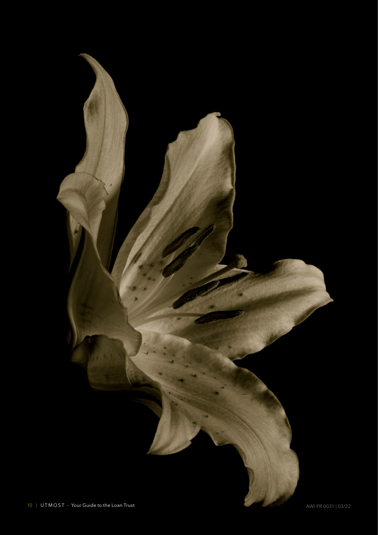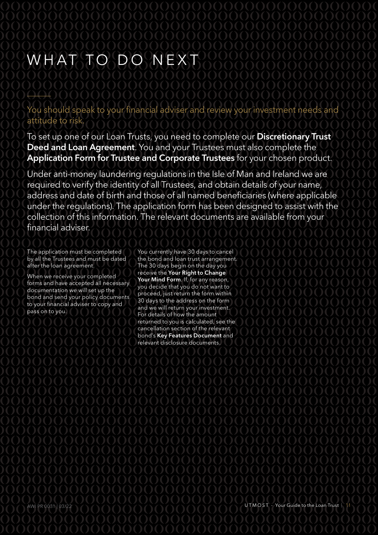# WHAT TO DO NEXT

# You should speak to your financial adviser and review your investment needs and attitude to risk.

To set up one of our Loan Trusts, you need to complete our Discretionary Trust Deed and Loan Agreement. You and your Trustees must also complete the Application Form for Trustee and Corporate Trustees for your chosen product.

Under anti-money laundering regulations in the Isle of Man and Ireland we are required to verify the identity of all Trustees, and obtain details of your name, address and date of birth and those of all named beneficiaries (where applicable under the regulations). The application form has been designed to assist with the collection of this information. The relevant documents are available from your financial adviser.

The application must be completed by all the Trustees and must be dated after the loan agreement.

When we receive your completed forms and have accepted all necessary documentation we will set up the bond and send your policy documents to your financial adviser to copy and pass on to you.

You currently have 30 days to cancel the bond and loan trust arrangement. The 30 days begin on the day you receive the Your Right to Change Your Mind Form. If, for any reason, you decide that you do not want to proceed, just return the form within 30 days to the address on the form and we will return your investment. For details of how the amount returned to you is calculated, see the cancellation section of the relevant bond's Key Features Document and relevant disclosure documents.